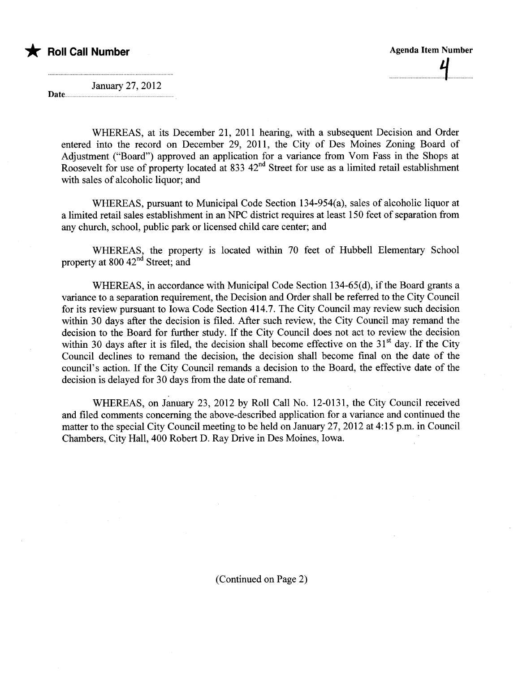

January 27, 2012

Date...

WHEREAS, at its December 21, 2011 hearing, with a subsequent Decision and Order entered into the record on December 29, 2011, the City of Des Moines Zoning Board of Adjustment ("Board") approved an application for a variance from Vom Fass in the Shops at Roosevelt for use of property located at 833 42<sup>nd</sup> Street for use as a limited retail establishment with sales of alcoholic liquor; and

WHEREAS, pursuant to Municipal Code Section 134-954(a), sales of alcoholic liquor at a limited retail sales establishment in an NPC district requires at least 150 feet of separation from any church, school, public park or licensed child care center; and

WHEREAS, the property is located within 70 feet of Hubbell Elementary School property at 800 42<sup>nd</sup> Street; and

WHEREAS, in accordance with Municipal Code Section 134-65(d), if the Board grants a variance to a separation requirement, the Decision and Order shall be referred to the City Council for its review pursuant to Iowa Code Section 414.7. The City Council may review such decision within 30 days after the decision is filed. After such review, the City Council may remand the decision to the Board for further study. If the City Council does not act to review the decision within 30 days after it is filed, the decision shall become effective on the  $31<sup>st</sup>$  day. If the City Council declines to remand the decision, the decision shall become final on the date of the council's action. If the City Council remands a decision to the Board, the effective date of the decision is delayed for 30 days from the date of remand.

WHEREAS, on January 23, 2012 by Roll Call No. 12-0131, the City Council received and filed comments concerning the above-described application for a variance and continued the matter to the special City Council meeting to be held on January 27, 2012 at 4:15 p.m. in Council Chambers, City Hall, 400 Robert D. Ray Drive in Des Moines, Iowa.

(Continued on Page 2)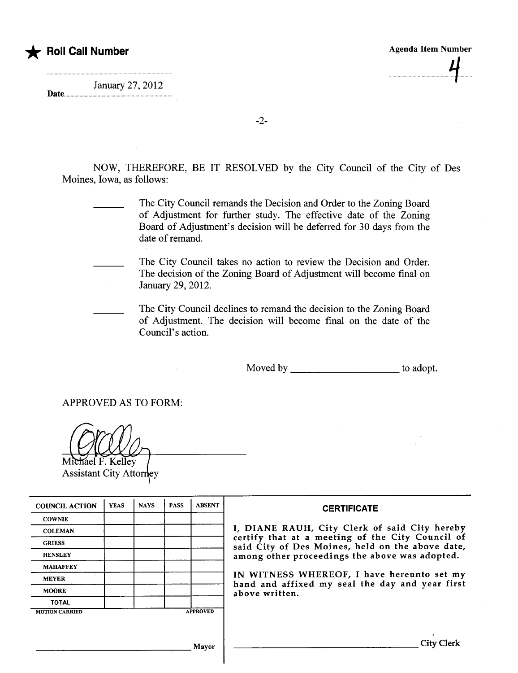............ .............tf....

January 27, 2012 

Date............

**Roll Call Number** 

-2-

NOW, THEREFORE, BE IT RESOLVED by the City Council of the City of Des Moines, Iowa, as follows:

> The City Council remands the Decision and Order to the Zoning Board of Adjustment for further study. The effective date of the Zoning Board of Adjustment's decision will be deferred for 30 days from the date of remand.

The City Council takes no action to review the Decision and Order. The decision of the Zoning Board of Adjustment will become final on January 29, 2012.

The City Council declines to remand the decision to the Zoning Board of Adjustment. The decision wil become final on the date of the Council's action.

Moved by \_\_\_\_\_\_\_\_\_\_\_\_\_\_\_\_\_\_\_\_\_\_\_\_\_\_\_\_\_\_\_\_ to adopt.

APPROVED AS TO FORM:

Michael F. Kelley **Assistant City Attorney** 

| <b>COUNCIL ACTION</b> | <b>YEAS</b> | <b>NAYS</b> | <b>PASS</b> | <b>ABSENT</b>   | <b>CERTIFICATE</b>                                                                                   |
|-----------------------|-------------|-------------|-------------|-----------------|------------------------------------------------------------------------------------------------------|
| <b>COWNIE</b>         |             |             |             |                 |                                                                                                      |
| <b>COLEMAN</b>        |             |             |             |                 | I, DIANE RAUH, City Clerk of said City hereby                                                        |
| <b>GRIESS</b>         |             |             |             |                 | certify that at a meeting of the City Council of<br>said City of Des Moines, held on the above date, |
| <b>HENSLEY</b>        |             |             |             |                 | among other proceedings the above was adopted.                                                       |
| <b>MAHAFFEY</b>       |             |             |             |                 |                                                                                                      |
| <b>MEYER</b>          |             |             |             |                 | IN WITNESS WHEREOF, I have hereunto set my<br>hand and affixed my seal the day and year first        |
| <b>MOORE</b>          |             |             |             |                 | above written.                                                                                       |
| <b>TOTAL</b>          |             |             |             |                 |                                                                                                      |
| <b>MOTION CARRIED</b> |             |             |             | <b>APPROVED</b> |                                                                                                      |
|                       |             |             |             |                 |                                                                                                      |
|                       |             |             |             |                 |                                                                                                      |
|                       |             |             |             | Mayor           |                                                                                                      |